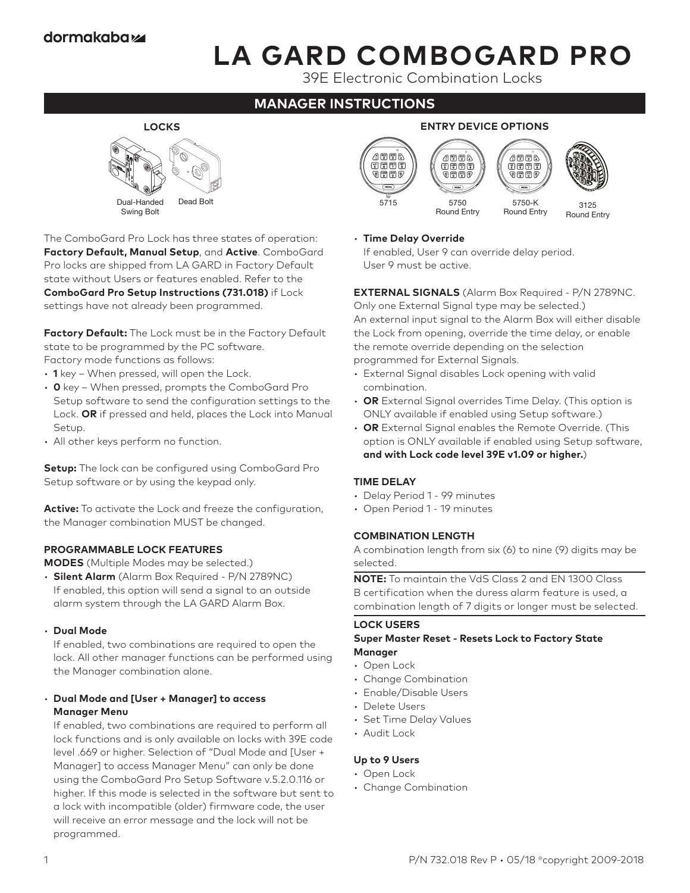# **LA GARD COMBOGARD PRO**

39E Electronic Combination Locks

# **MANAGER INSTRUCTIONS**



The ComboGard Pro Lock has three states of operation: **Factory Default, Manual Setup**, and **Active**. ComboGard Pro locks are shipped from LA GARD in Factory Default state without Users or features enabled. Refer to the **ComboGard Pro Setup Instructions (731.018)** if Lock settings have not already been programmed.

**Factory Default:** The Lock must be in the Factory Default state to be programmed by the PC software. Factory mode functions as follows:

- **1** key When pressed, will open the Lock.
- **0** key When pressed, prompts the ComboGard Pro Setup software to send the configuration settings to the Lock. **OR** if pressed and held, places the Lock into Manual Setup.
- All other keys perform no function.

**Setup:** The lock can be configured using ComboGard Pro Setup software or by using the keypad only.

**Active:** To activate the Lock and freeze the configuration, the Manager combination MUST be changed.

#### **PROGRAMMABLE LOCK FEATURES**

**MODES** (Multiple Modes may be selected.)

- **Silent Alarm** (Alarm Box Required P/N 2789NC) If enabled, this option will send a signal to an outside alarm system through the LA GARD Alarm Box.
- **Dual Mode**

If enabled, two combinations are required to open the lock. All other manager functions can be performed using the Manager combination alone.

#### • **Dual Mode and [User + Manager] to access Manager Menu**

If enabled, two combinations are required to perform all lock functions and is only available on locks with 39E code level .669 or higher. Selection of "Dual Mode and [User + Manager] to access Manager Menu" can only be done using the ComboGard Pro Setup Software v.5.2.0.116 or higher. If this mode is selected in the software but sent to a lock with incompatible (older) firmware code, the user will receive an error message and the lock will not be programmed.





#### • **Time Delay Override**

If enabled, User 9 can override delay period. User 9 must be active.

**EXTERNAL SIGNALS** (Alarm Box Required - P/N 2789NC.

Only one External Signal type may be selected.) An external input signal to the Alarm Box will either disable the Lock from opening, override the time delay, or enable the remote override depending on the selection programmed for External Signals.

- External Signal disables Lock opening with valid combination.
- **OR** External Signal overrides Time Delay. (This option is ONLY available if enabled using Setup software.)
- **OR** External Signal enables the Remote Override. (This option is ONLY available if enabled using Setup software, **and with Lock code level 39E v1.09 or higher.**)

#### **TIME DELAY**

- Delay Period 1 99 minutes
- Open Period 1 19 minutes

#### **COMBINATION LENGTH**

A combination length from six (6) to nine (9) digits may be selected.

**NOTE:** To maintain the VdS Class 2 and EN 1300 Class B certification when the duress alarm feature is used, a combination length of 7 digits or longer must be selected.

#### **LOCK USERS**

#### **Super Master Reset - Resets Lock to Factory State Manager**

• Open Lock

- Change Combination
- Enable/Disable Users
- Delete Users
- Set Time Delay Values
- Audit Lock

## **Up to 9 Users**

- Open Lock
- Change Combination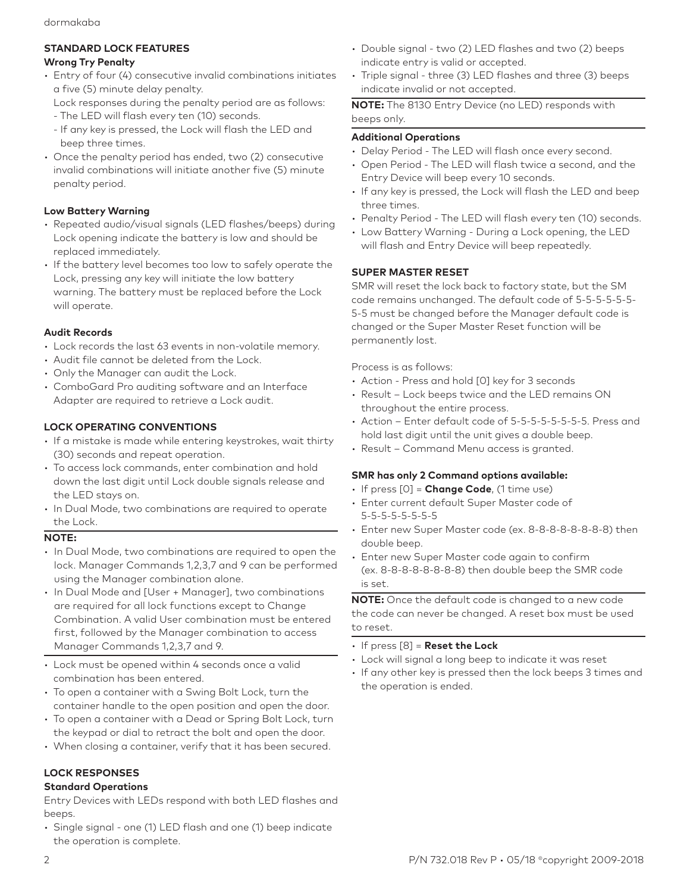# **STANDARD LOCK FEATURES**

# **Wrong Try Penalty**

- Entry of four (4) consecutive invalid combinations initiates a five (5) minute delay penalty.
	- Lock responses during the penalty period are as follows:
	- The LED will flash every ten (10) seconds.
	- If any key is pressed, the Lock will flash the LED and beep three times.
- Once the penalty period has ended, two (2) consecutive invalid combinations will initiate another five (5) minute penalty period.

# **Low Battery Warning**

- Repeated audio/visual signals (LED flashes/beeps) during Lock opening indicate the battery is low and should be replaced immediately.
- If the battery level becomes too low to safely operate the Lock, pressing any key will initiate the low battery warning. The battery must be replaced before the Lock will operate.

# **Audit Records**

- Lock records the last 63 events in non-volatile memory.
- Audit file cannot be deleted from the Lock.
- Only the Manager can audit the Lock.
- ComboGard Pro auditing software and an Interface Adapter are required to retrieve a Lock audit.

# **LOCK OPERATING CONVENTIONS**

- If a mistake is made while entering keystrokes, wait thirty (30) seconds and repeat operation.
- To access lock commands, enter combination and hold down the last digit until Lock double signals release and the LED stays on.
- In Dual Mode, two combinations are required to operate the Lock.

# **NOTE:**

- In Dual Mode, two combinations are required to open the lock. Manager Commands 1,2,3,7 and 9 can be performed using the Manager combination alone.
- In Dual Mode and [User + Manager], two combinations are required for all lock functions except to Change Combination. A valid User combination must be entered first, followed by the Manager combination to access Manager Commands 1,2,3,7 and 9.
- Lock must be opened within 4 seconds once a valid combination has been entered.
- To open a container with a Swing Bolt Lock, turn the container handle to the open position and open the door.
- To open a container with a Dead or Spring Bolt Lock, turn the keypad or dial to retract the bolt and open the door.
- When closing a container, verify that it has been secured.

# **LOCK RESPONSES**

# **Standard Operations**

Entry Devices with LEDs respond with both LED flashes and beeps.

• Single signal - one (1) LED flash and one (1) beep indicate the operation is complete.

- Double signal two (2) LED flashes and two (2) beeps indicate entry is valid or accepted.
- Triple signal three (3) LED flashes and three (3) beeps indicate invalid or not accepted.

**NOTE:** The 8130 Entry Device (no LED) responds with beeps only.

# **Additional Operations**

- Delay Period The LED will flash once every second.
- Open Period The LED will flash twice a second, and the Entry Device will beep every 10 seconds.
- If any key is pressed, the Lock will flash the LED and beep three times.
- Penalty Period The LED will flash every ten (10) seconds.
- Low Battery Warning During a Lock opening, the LED will flash and Entry Device will beep repeatedly.

# **SUPER MASTER RESET**

SMR will reset the lock back to factory state, but the SM code remains unchanged. The default code of 5-5-5-5-5-5- 5-5 must be changed before the Manager default code is changed or the Super Master Reset function will be permanently lost.

Process is as follows:

- Action Press and hold [0] key for 3 seconds
- Result Lock beeps twice and the LED remains ON throughout the entire process.
- Action Enter default code of 5-5-5-5-5-5-5-5. Press and hold last digit until the unit gives a double beep.
- Result Command Menu access is granted.

# **SMR has only 2 Command options available:**

- If press [0] = **Change Code**, (1 time use)
- Enter current default Super Master code of 5-5-5-5-5-5-5-5
- Enter new Super Master code (ex. 8-8-8-8-8-8-8-8) then double beep.
- Enter new Super Master code again to confirm (ex. 8-8-8-8-8-8-8-8) then double beep the SMR code is set.

**NOTE:** Once the default code is changed to a new code the code can never be changed. A reset box must be used to reset.

- If press [8] = **Reset the Lock**
- Lock will signal a long beep to indicate it was reset
- If any other key is pressed then the lock beeps 3 times and the operation is ended.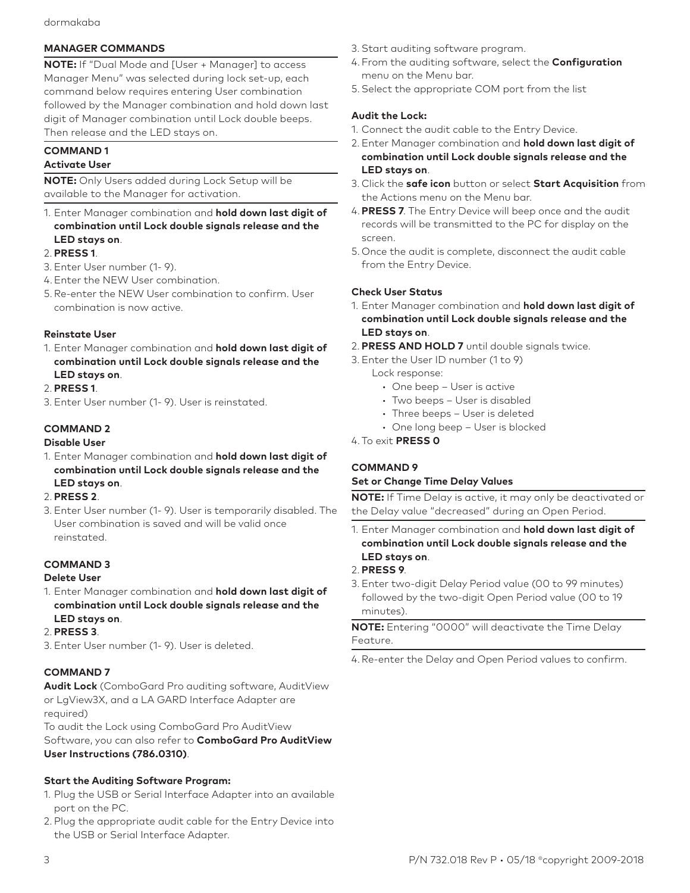## **MANAGER COMMANDS**

**NOTE:** If "Dual Mode and [User + Manager] to access Manager Menu" was selected during lock set-up, each command below requires entering User combination followed by the Manager combination and hold down last digit of Manager combination until Lock double beeps. Then release and the LED stays on.

# **COMMAND 1**

# **Activate User**

**NOTE:** Only Users added during Lock Setup will be available to the Manager for activation.

1. Enter Manager combination and **hold down last digit of combination until Lock double signals release and the LED stays on**.

#### 2. **PRESS 1**.

- 3. Enter User number (1- 9).
- 4.Enter the NEW User combination.
- 5. Re-enter the NEW User combination to confirm. User combination is now active.

#### **Reinstate User**

1. Enter Manager combination and **hold down last digit of combination until Lock double signals release and the LED stays on**.

#### 2. **PRESS 1**.

3. Enter User number (1- 9). User is reinstated.

# **COMMAND 2**

#### **Disable User**

- 1. Enter Manager combination and **hold down last digit of combination until Lock double signals release and the LED stays on**.
- 2. **PRESS 2**.
- 3. Enter User number (1- 9). User is temporarily disabled. The User combination is saved and will be valid once reinstated.

# **COMMAND 3**

#### **Delete User**

- 1. Enter Manager combination and **hold down last digit of combination until Lock double signals release and the LED stays on**.
- 2. **PRESS 3**.
- 3. Enter User number (1- 9). User is deleted.

#### **COMMAND 7**

**Audit Lock** (ComboGard Pro auditing software, AuditView or LgView3X, and a LA GARD Interface Adapter are required)

To audit the Lock using ComboGard Pro AuditView Software, you can also refer to **ComboGard Pro AuditView User Instructions (786.0310)**.

# **Start the Auditing Software Program:**

- 1. Plug the USB or Serial Interface Adapter into an available port on the PC.
- 2. Plug the appropriate audit cable for the Entry Device into the USB or Serial Interface Adapter.
- 3. Start auditing software program.
- 4. From the auditing software, select the **Configuration** menu on the Menu bar.
- 5.Select the appropriate COM port from the list

#### **Audit the Lock:**

- 1. Connect the audit cable to the Entry Device.
- 2. Enter Manager combination and **hold down last digit of combination until Lock double signals release and the LED stays on**.
- 3. Click the **safe icon** button or select **Start Acquisition** from the Actions menu on the Menu bar.
- 4. **PRESS 7**. The Entry Device will beep once and the audit records will be transmitted to the PC for display on the screen.
- 5. Once the audit is complete, disconnect the audit cable from the Entry Device.

#### **Check User Status**

- 1. Enter Manager combination and **hold down last digit of combination until Lock double signals release and the LED stays on**.
- 2. **PRESS AND HOLD 7** until double signals twice.
- 3. Enter the User ID number (1 to 9)
	- Lock response:
		- One beep User is active
		- Two beeps User is disabled
		- Three beeps User is deleted
		- One long beep User is blocked

#### 4.To exit **PRESS 0**

## **COMMAND 9**

#### **Set or Change Time Delay Values**

**NOTE:** If Time Delay is active, it may only be deactivated or the Delay value "decreased" during an Open Period.

1. Enter Manager combination and **hold down last digit of combination until Lock double signals release and the LED stays on**.

#### 2. **PRESS 9**.

3. Enter two-digit Delay Period value (00 to 99 minutes) followed by the two-digit Open Period value (00 to 19 minutes).

**NOTE:** Entering "0000" will deactivate the Time Delay Feature.

4.Re-enter the Delay and Open Period values to confirm.